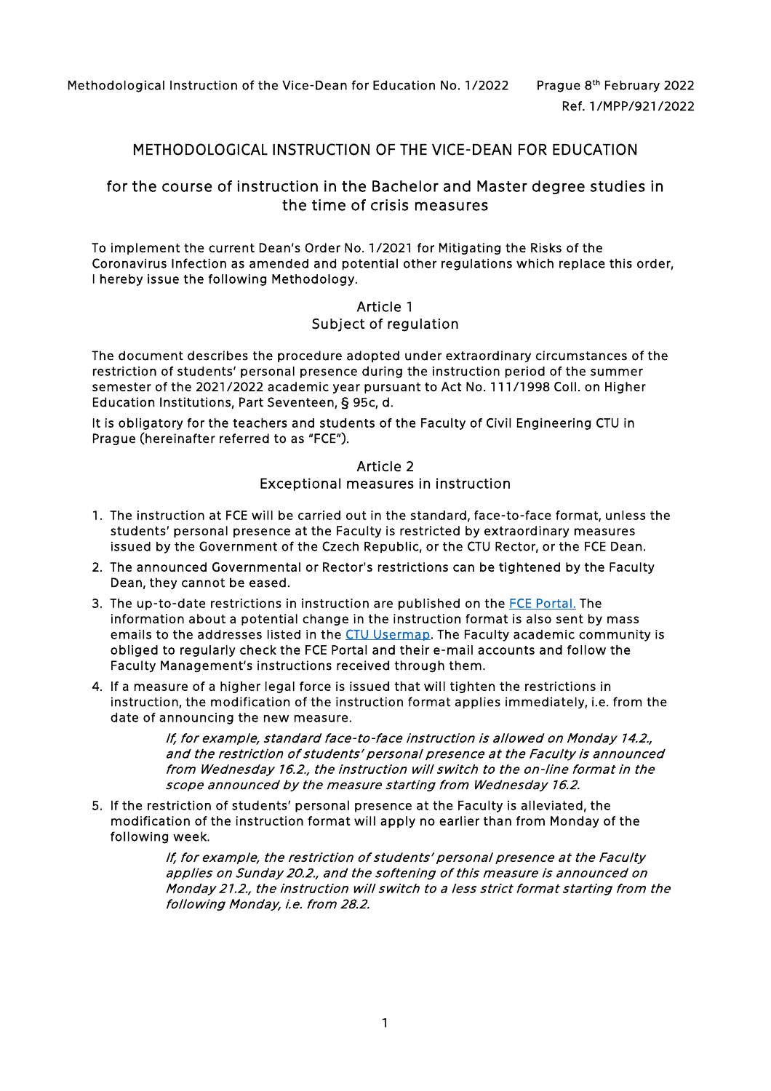Methodological Instruction of the Vice-Dean for Education No. 1/2022 Prague 8th February 2022

# METHODOLOGICAL INSTRUCTION OF THE VICE-DEAN FOR EDUCATION

## for the course of instruction in the Bachelor and Master degree studies in the time of crisis measures

To implement the curren[t Dean's Order No. 1/2021](https://www.fsv.cvut.cz/legislat/pd062020.php) for Mitigating the Risks of the Coronavirus Infection as amended and potential other regulations which replace this order, I hereby issue the following Methodology.

## Article 1 Subject of regulation

The document describes the procedure adopted under extraordinary circumstances of the restriction of students' personal presence during the instruction period of the summer semester of the 2021/2022 academic year pursuant to Act No. 111/1998 Coll. on Higher Education Institutions, Part Seventeen, § 95c, d.

It is obligatory for the teachers and students of the Faculty of Civil Engineering CTU in Prague (hereinafter referred to as "FCE").

#### Article 2

Exceptional measures in instruction

- 1. The instruction at FCE will be carried out in the standard, face-to-face format, unless the students' personal presence at the Faculty is restricted by extraordinary measures issued by the Government of the Czech Republic, or the CTU Rector, or the FCE Dean.
- 2. The announced Governmental or Rector's restrictions can be tightened by the Faculty Dean, they cannot be eased.
- 3. The up-to-date restrictions in instruction are published on the [FCE Portal.](https://portal.fsv.cvut.cz/en/hlavni/vir.php) The information about a potential change in the instruction format is also sent by mass emails to the addresses listed in the [CTU Usermap.](https://usermap.cvut.cz/search?lang=en) The Faculty academic community is obliged to regularly check the FCE Portal and their e-mail accounts and follow the Faculty Management's instructions received through them.
- 4. If a measure of a higher legal force is issued that will tighten the restrictions in instruction, the modification of the instruction format applies immediately, i.e. from the date of announcing the new measure.

If, for example, standard face-to-face instruction is allowed on Monday 14.2., and the restriction of students' personal presence at the Faculty is announced from Wednesday 16.2., the instruction will switch to the on-line format in the scope announced by the measure starting from Wednesday 16.2.

5. If the restriction of students' personal presence at the Faculty is alleviated, the modification of the instruction format will apply no earlier than from Monday of the following week.

> If, for example, the restriction of students' personal presence at the Faculty applies on Sunday 20.2., and the softening of this measure is announced on Monday 21.2., the instruction will switch to a less strict format starting from the following Monday, i.e. from 28.2.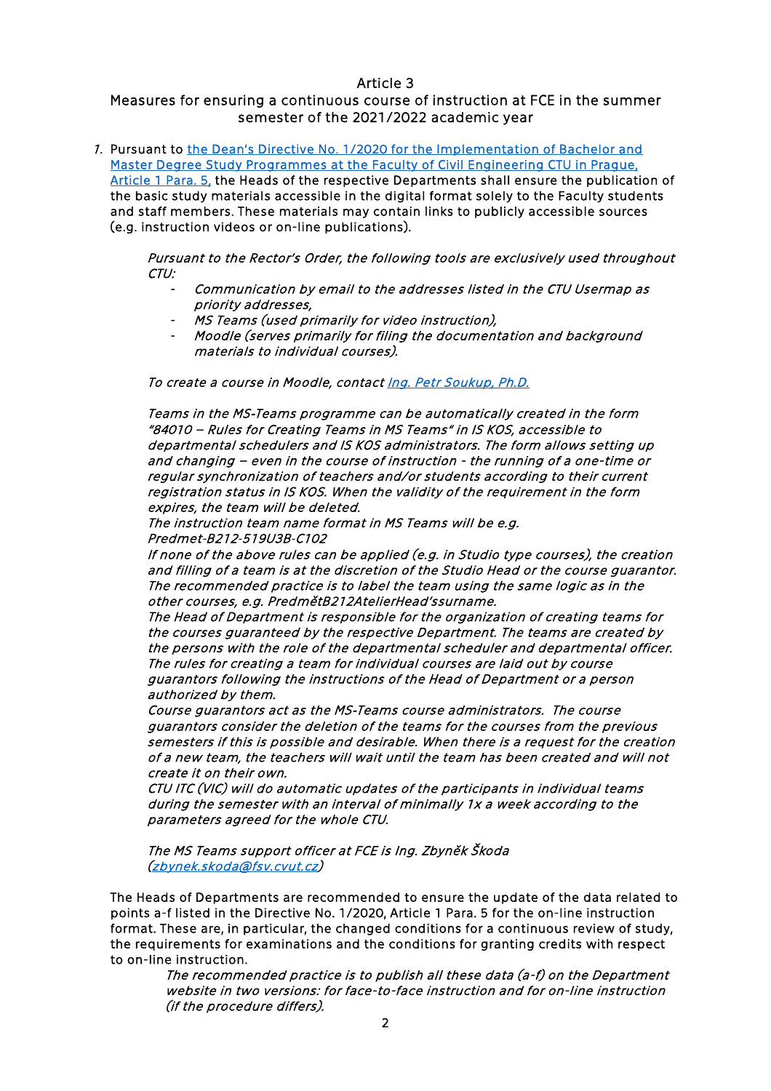#### Article 3

## Measures for ensuring a continuous course of instruction at FCE in the summer semester of the 2021/2022 academic year

1. Pursuant to [the Dean's Directive No. 1/2020 for the Implementation of Bachelor and](https://www.fsv.cvut.cz/legislen/smde0120e.php)  [Master Degree Study Programmes at the Faculty of Civil Engineering CTU in Prague,](https://www.fsv.cvut.cz/legislen/smde0120e.php)  [Article 1 Para. 5,](https://www.fsv.cvut.cz/legislen/smde0120e.php) the Heads of the respective Departments shall ensure the publication of the basic study materials accessible in the digital format solely to the Faculty students and staff members. These materials may contain links to publicly accessible sources (e.g. instruction videos or on-line publications).

Pursuant to the Rector's Order, the following tools are exclusively used throughout CTU:

- Communication by email to the addresses listed in the CTU Usermap as priority addresses,
- MS Teams (used primarily for video instruction),
- Moodle (serves primarily for filing the documentation and background materials to individual courses).

To create a course in Moodle, contact Ing. Petr Soukup, Ph.D.

Teams in the MS‐Teams programme can be automatically created in the form "84010 – Rules for Creating Teams in MS Teams" in IS KOS, accessible to departmental schedulers and IS KOS administrators. The form allows setting up and changing – even in the course of instruction - the running of a one-time or regular synchronization of teachers and/or students according to their current registration status in IS KOS. When the validity of the requirement in the form expires, the team will be deleted.

The instruction team name format in MS Teams will be e.g. Predmet‐B212‐519U3B‐C102

If none of the above rules can be applied (e.g. in Studio type courses), the creation and filling of a team is at the discretion of the Studio Head or the course guarantor. The recommended practice is to label the team using the same logic as in the other courses, e.g. PredmětB212AtelierHead'ssurname.

The Head of Department is responsible for the organization of creating teams for the courses guaranteed by the respective Department. The teams are created by the persons with the role of the departmental scheduler and departmental officer. The rules for creating a team for individual courses are laid out by course guarantors following the instructions of the Head of Department or a person authorized by them.

Course guarantors act as the MS‐Teams course administrators. The course guarantors consider the deletion of the teams for the courses from the previous semesters if this is possible and desirable. When there is a request for the creation of a new team, the teachers will wait until the team has been created and will not create it on their own.

CTU ITC (VIC) will do automatic updates of the participants in individual teams during the semester with an interval of minimally 1x a week according to the parameters agreed for the whole CTU.

The MS Teams support officer at FCE is Ing. Zbyněk Škoda [\(zbynek.skoda@fsv.cvut.cz\)](mailto:zbynek.skoda@fsv.cvut.cz)

The Heads of Departments are recommended to ensure the update of the data related to points a-f listed in the Directive No. 1/2020, Article 1 Para. 5 for the on-line instruction format. These are, in particular, the changed conditions for a continuous review of study, the requirements for examinations and the conditions for granting credits with respect to on-line instruction.

The recommended practice is to publish all these data (a-f) on the Department website in two versions: for face-to-face instruction and for on-line instruction (if the procedure differs).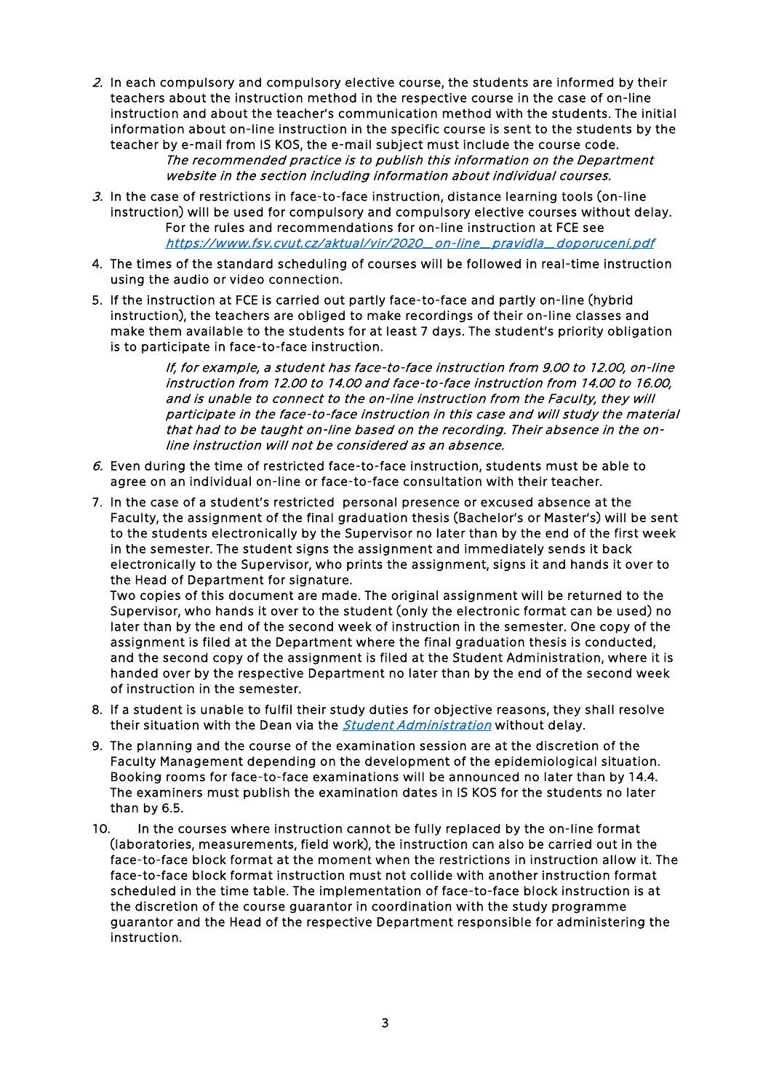2. In each compulsory and compulsory elective course, the students are informed by their teachers about the instruction method in the respective course in the case of on-line instruction and about the teacher's communication method with the students. The initial information about on-line instruction in the specific course is sent to the students by the teacher by e-mail from IS KOS, the e-mail subject must include the course code.

The recommended practice is to publish this information on the Department website in the section including information about individual courses.

- 3. In the case of restrictions in face-to-face instruction, distance learning tools (on-line instruction) will be used for compulsory and compulsory elective courses without delay. For the rules and recommendations for on-line instruction at FCE see [https://www.fsv.cvut.cz/aktual/vir/2020\\_on-line\\_pravidla\\_doporuceni.pdf](https://www.fsv.cvut.cz/aktual/vir/2020_on-line_pravidla_doporuceni.pdf)
- 4. The times of the standard [scheduling of courses](https://www.fsv.cvut.cz/rozvrh?lang=en) will be followed in real-time instruction using the audio or video connection.
- 5. If the instruction at FCE is carried out partly face-to-face and partly on-line (hybrid instruction), the teachers are obliged to make recordings of their on-line classes and make them available to the students for at least 7 days. The student's priority obligation is to participate in face-to-face instruction.

If, for example, a student has face-to-face instruction from 9.00 to 12.00, on-line instruction from 12.00 to 14.00 and face-to-face instruction from 14.00 to 16.00, and is unable to connect to the on-line instruction from the Faculty, they will participate in the face-to-face instruction in this case and will study the material that had to be taught on-line based on the recording. Their absence in the online instruction will not be considered as an absence.

- 6. Even during the time of restricted face-to-face instruction, students must be able to agree on an individual on-line or face-to-face consultation with their teacher.
- 7. In the case of a student's restricted personal presence or excused absence at the Faculty, the assignment of the final graduation thesis (Bachelor's or Master's) will be sent to the students electronically by the Supervisor no later than by the end of the first week in the semester. The student signs the assignment and immediately sends it back electronically to the Supervisor, who prints the assignment, signs it and hands it over to the Head of Department for signature.

Two copies of this document are made. The original assignment will be returned to the Supervisor, who hands it over to the student (only the electronic format can be used) no later than by the end of the second week of instruction in the semester. One copy of the assignment is filed at the Department where the final graduation thesis is conducted, and the second copy of the assignment is filed at the Student Administration, where it is handed over by the respective Department no later than by the end of the second week of instruction in the semester.

- 8. If a student is unable to fulfil their study duties for objective reasons, they shall resolve their situation with the Dean via the *[Student Administration](https://portal.fsv.cvut.cz/en/hlavni/dekanat.php#pedagog)* without delay.
- 9. The planning and the course of the examination session are at the discretion of the Faculty Management depending on the development of the epidemiological situation. Booking rooms for face-to-face examinations will be announced no later than by 14.4. The examiners must publish the examination dates in IS KOS for the students no later than by 6.5.
- 10. In the courses where instruction cannot be fully replaced by the on-line format (laboratories, measurements, field work), the instruction can also be carried out in the face-to-face block format at the moment when the restrictions in instruction allow it. The face-to-face block format instruction must not collide with another instruction format scheduled in the time table. The implementation of face-to-face block instruction is at the discretion of the course guarantor in coordination with the study programme guarantor and the Head of the respective Department responsible for administering the instruction.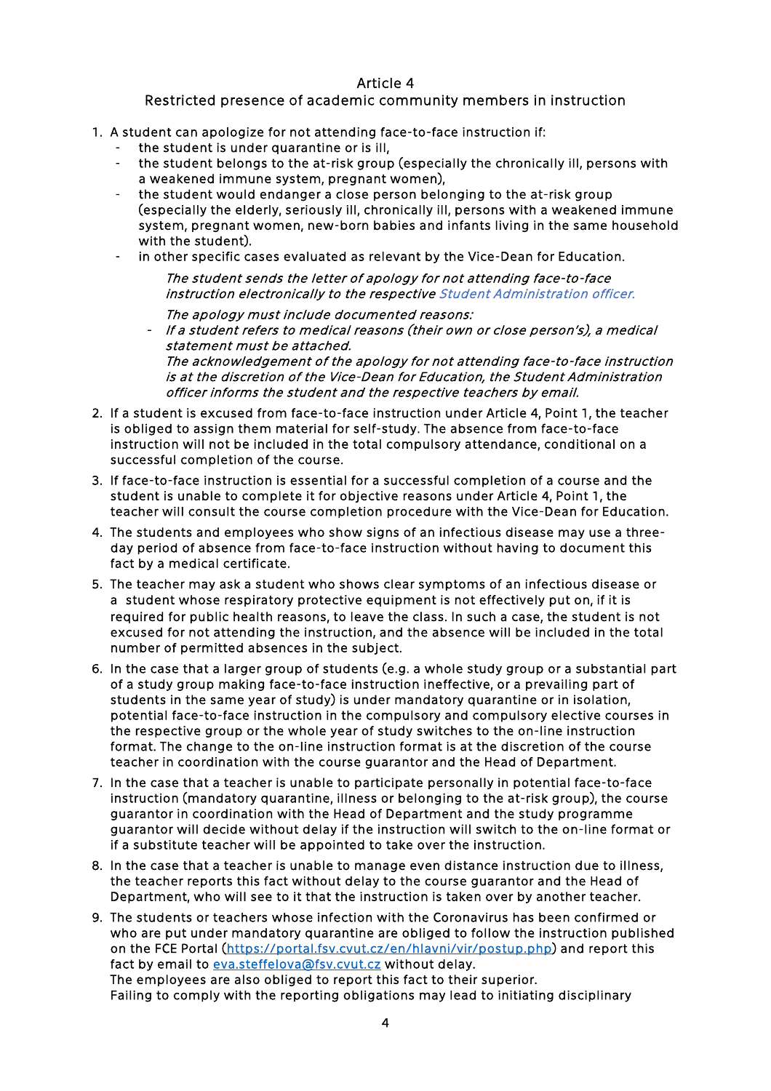### Article 4

### Restricted presence of academic community members in instruction

- 1. A student can apologize for not attending face-to-face instruction if:
	- the student is under quarantine or is ill,
	- the student belongs to the at-risk group (especially the chronically ill, persons with a weakened immune system, pregnant women),
	- the student would endanger a close person belonging to the at-risk group (especially the elderly, seriously ill, chronically ill, persons with a weakened immune system, pregnant women, new-born babies and infants living in the same household with the student).
	- in other specific cases evaluated as relevant by the Vice-Dean for Education.

The student sends the letter of apology for not attending face-to-face instruction electronically to the respective [Student Administration officer.](https://portal.fsv.cvut.cz/en/hlavni/dekanat.php#pedagog)

The apology must include documented reasons: - If a student refers to medical reasons (their own or close person's), a medical statement must be attached.

The acknowledgement of the apology for not attending face-to-face instruction is at the discretion of the Vice-Dean for Education, the Student Administration officer informs the student and the respective teachers by email.

- 2. If a student is excused from face-to-face instruction under Article 4, Point 1, the teacher is obliged to assign them material for self-study. The absence from face-to-face instruction will not be included in the total compulsory attendance, conditional on a successful completion of the course.
- 3. If face-to-face instruction is essential for a successful completion of a course and the student is unable to complete it for objective reasons under Article 4, Point 1, the teacher will consult the course completion procedure with the Vice-Dean for Education.
- 4. The students and employees who show signs of an infectious disease may use a threeday period of absence from face-to-face instruction without having to document this fact by a medical certificate.
- 5. The teacher may ask a student who shows clear symptoms of an infectious disease or a student whose respiratory protective equipment is not effectively put on, if it is required for public health reasons, to leave the class. In such a case, the student is not excused for not attending the instruction, and the absence will be included in the total number of permitted absences in the subject.
- 6. In the case that a larger group of students (e.g. a whole study group or a substantial part of a study group making face-to-face instruction ineffective, or a prevailing part of students in the same year of study) is under mandatory quarantine or in isolation, potential face-to-face instruction in the compulsory and compulsory elective courses in the respective group or the whole year of study switches to the on-line instruction format. The change to the on-line instruction format is at the discretion of the course teacher in coordination with the course guarantor and the Head of Department.
- 7. In the case that a teacher is unable to participate personally in potential face-to-face instruction (mandatory quarantine, illness or belonging to the at-risk group), the course guarantor in coordination with the Head of Department and the study programme guarantor will decide without delay if the instruction will switch to the on-line format or if a substitute teacher will be appointed to take over the instruction.
- 8. In the case that a teacher is unable to manage even distance instruction due to illness, the teacher reports this fact without delay to the course guarantor and the Head of Department, who will see to it that the instruction is taken over by another teacher.
- 9. The students or teachers whose infection with the Coronavirus has been confirmed or who are put under mandatory quarantine are obliged to follow the instruction published on the FCE Portal [\(https://portal.fsv.cvut.cz/en/hlavni/vir/postup.php\)](https://portal.fsv.cvut.cz/en/hlavni/vir/postup.php) and report this fact by email to [eva.steffelova@fsv.cvut.cz w](mailto:eva.steffelova@fsv.cvut.cz?subject=Covid%2019)ithout delay. The employees are also obliged to report this fact to their superior. Failing to comply with the reporting obligations may lead to initiating disciplinary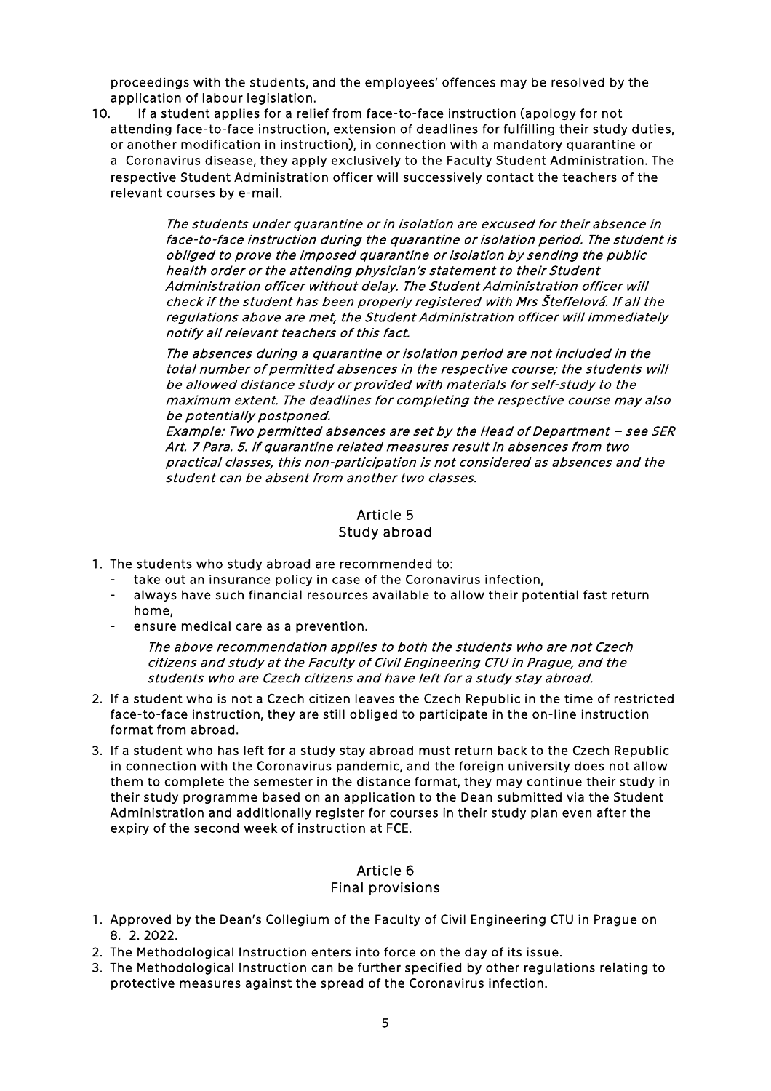proceedings with the students, and the employees' offences may be resolved by the application of labour legislation.

10. If a student applies for a relief from face-to-face instruction (apology for not attending face-to-face instruction, extension of deadlines for fulfilling their study duties, or another modification in instruction), in connection with a mandatory quarantine or a Coronavirus disease, they apply exclusively to the [Faculty Student Administration.](https://portal.fsv.cvut.cz/hlavni/educat/kontakt.php) The respective Student Administration officer will successively contact the teachers of the relevant courses by e-mail.

> The students under quarantine or in isolation are excused for their absence in face-to-face instruction during the quarantine or isolation period. The student is obliged to prove the imposed quarantine or isolation by sending the public health order or the attending physician's statement to their Student Administration officer without delay. The Student Administration officer will check if the student has been properly registered with Mrs Šteffelová. If all the regulations above are met, the Student Administration officer will immediately notify all relevant teachers of this fact.

The absences during a quarantine or isolation period are not included in the total number of permitted absences in the respective course; the students will be allowed distance study or provided with materials for self-study to the maximum extent. The deadlines for completing the respective course may also be potentially postponed.

Example: Two permitted absences are set by the Head of Department – see SER Art. 7 Para. 5. If quarantine related measures result in absences from two practical classes, this non-participation is not considered as absences and the student can be absent from another two classes.

# Article 5

#### Study abroad

- 1. The students who study abroad are recommended to:
	- take out an insurance policy in case of the Coronavirus infection,
	- always have such financial resources available to allow their potential fast return home,
	- ensure medical care as a prevention.

The above recommendation applies to both the students who are not Czech citizens and study at the Faculty of Civil Engineering CTU in Prague, and the students who are Czech citizens and have left for a study stay abroad.

- 2. If a student who is not a Czech citizen leaves the Czech Republic in the time of restricted face-to-face instruction, they are still obliged to participate in the on-line instruction format from abroad.
- 3. If a student who has left for a study stay abroad must return back to the Czech Republic in connection with the Coronavirus pandemic, and the foreign university does not allow them to complete the semester in the distance format, they may continue their study in their study programme based on an application to the Dean submitted via the Student Administration and additionally register for courses in their study plan even after the expiry of the second week of instruction at FCE.

## Article 6

#### Final provisions

- 1. Approved by the Dean's Collegium of the Faculty of Civil Engineering CTU in Prague on 8. 2. 2022.
- 2. The Methodological Instruction enters into force on the day of its issue.
- 3. The Methodological Instruction can be further specified by other regulations relating to protective measures against the spread of the Coronavirus infection.